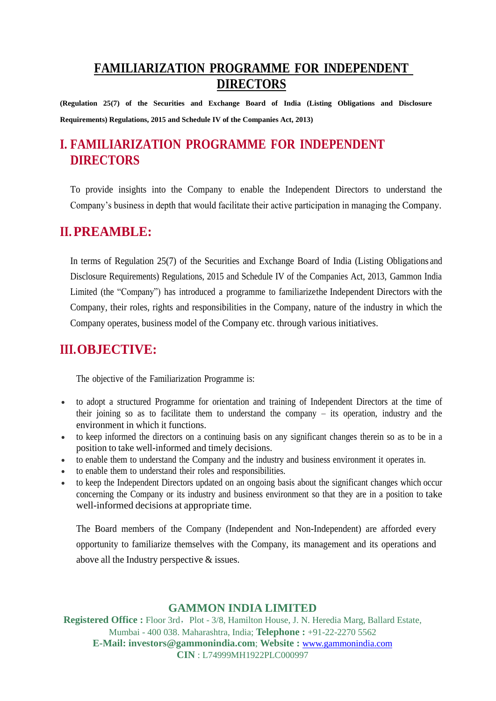## **FAMILIARIZATION PROGRAMME FOR INDEPENDENT DIRECTORS**

**(Regulation 25(7) of the Securities and Exchange Board of India (Listing Obligations and Disclosure Requirements) Regulations, 2015 and Schedule IV of the Companies Act, 2013)**

# **I. FAMILIARIZATION PROGRAMME FOR INDEPENDENT DIRECTORS**

To provide insights into the Company to enable the Independent Directors to understand the Company's business in depth that would facilitate their active participation in managing the Company.

### **II.PREAMBLE:**

In terms of Regulation 25(7) of the Securities and Exchange Board of India (Listing Obligations and Disclosure Requirements) Regulations, 2015 and Schedule IV of the Companies Act, 2013, Gammon India Limited (the "Company") has introduced a programme to familiarizethe Independent Directors with the Company, their roles, rights and responsibilities in the Company, nature of the industry in which the Company operates, business model of the Company etc. through various initiatives.

## **III.OBJECTIVE:**

The objective of the Familiarization Programme is:

- to adopt a structured Programme for orientation and training of Independent Directors at the time of their joining so as to facilitate them to understand the company – its operation, industry and the environment in which it functions.
- to keep informed the directors on a continuing basis on any significant changes therein so as to be in a position to take well-informed and timely decisions.
- to enable them to understand the Company and the industry and business environment it operates in.
- to enable them to understand their roles and responsibilities.
- to keep the Independent Directors updated on an ongoing basis about the significant changes which occur concerning the Company or its industry and business environment so that they are in a position to take well-informed decisions at appropriate time.

The Board members of the Company (Independent and Non-Independent) are afforded every opportunity to familiarize themselves with the Company, its management and its operations and above all the Industry perspective & issues.

### **GAMMON INDIA LIMITED**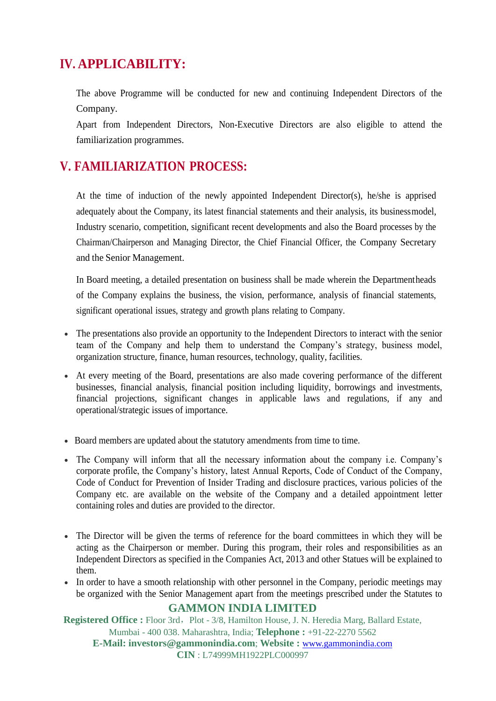## **IV. APPLICABILITY:**

The above Programme will be conducted for new and continuing Independent Directors of the Company.

Apart from Independent Directors, Non-Executive Directors are also eligible to attend the familiarization programmes.

### **V. FAMILIARIZATION PROCESS:**

At the time of induction of the newly appointed Independent Director(s), he/she is apprised adequately about the Company, its latest financial statements and their analysis, its businessmodel, Industry scenario, competition, significant recent developments and also the Board processes by the Chairman/Chairperson and Managing Director, the Chief Financial Officer, the Company Secretary and the Senior Management.

In Board meeting, a detailed presentation on business shall be made wherein the Departmentheads of the Company explains the business, the vision, performance, analysis of financial statements, significant operational issues, strategy and growth plans relating to Company.

- The presentations also provide an opportunity to the Independent Directors to interact with the senior team of the Company and help them to understand the Company's strategy, business model, organization structure, finance, human resources, technology, quality, facilities.
- At every meeting of the Board, presentations are also made covering performance of the different businesses, financial analysis, financial position including liquidity, borrowings and investments, financial projections, significant changes in applicable laws and regulations, if any and operational/strategic issues of importance.
- Board members are updated about the statutory amendments from time to time.
- The Company will inform that all the necessary information about the company i.e. Company's corporate profile, the Company's history, latest Annual Reports, Code of Conduct of the Company, Code of Conduct for Prevention of Insider Trading and disclosure practices, various policies of the Company etc. are available on the website of the Company and a detailed appointment letter containing roles and duties are provided to the director.
- The Director will be given the terms of reference for the board committees in which they will be acting as the Chairperson or member. During this program, their roles and responsibilities as an Independent Directors as specified in the Companies Act, 2013 and other Statues will be explained to them.
- In order to have a smooth relationship with other personnel in the Company, periodic meetings may be organized with the Senior Management apart from the meetings prescribed under the Statutes to

### **GAMMON INDIA LIMITED**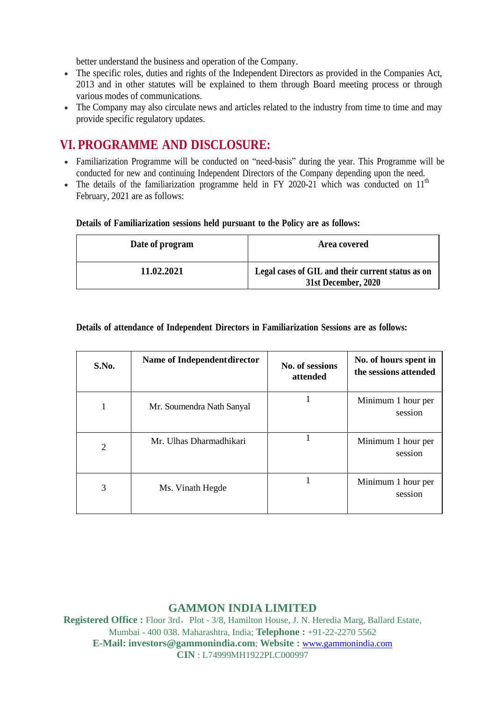better understand the business and operation of the Company.

- The specific roles, duties and rights of the Independent Directors as provided in the Companies Act, 2013 and in other statutes will be explained to them through Board meeting process or through various modes of communications.
- The Company may also circulate news and articles related to the industry from time to time and may provide specific regulatory updates.

## **VI. PROGRAMME AND DISCLOSURE:**

- Familiarization Programme will be conducted on "need-basis" during the year. This Programme will be conducted for new and continuing Independent Directors of the Company depending upon the need.
- The details of the familiarization programme held in FY 2020-21 which was conducted on  $11<sup>th</sup>$ February, 2021 are as follows:

#### **Details of Familiarization sessions held pursuant to the Policy are as follows:**

| Date of program | Area covered                                                             |  |
|-----------------|--------------------------------------------------------------------------|--|
| 11.02.2021      | Legal cases of GIL and their current status as on<br>31st December, 2020 |  |

#### **Details of attendance of Independent Directors in Familiarization Sessions are as follows:**

| S.No.          | Name of Independent director | No. of sessions<br>attended | No. of hours spent in<br>the sessions attended |
|----------------|------------------------------|-----------------------------|------------------------------------------------|
|                | Mr. Soumendra Nath Sanyal    |                             | Minimum 1 hour per<br>session                  |
| $\overline{2}$ | Mr. Ulhas Dharmadhikari      |                             | Minimum 1 hour per<br>session                  |
| 3              | Ms. Vinath Hegde             |                             | Minimum 1 hour per<br>session                  |

### **GAMMON INDIA LIMITED**